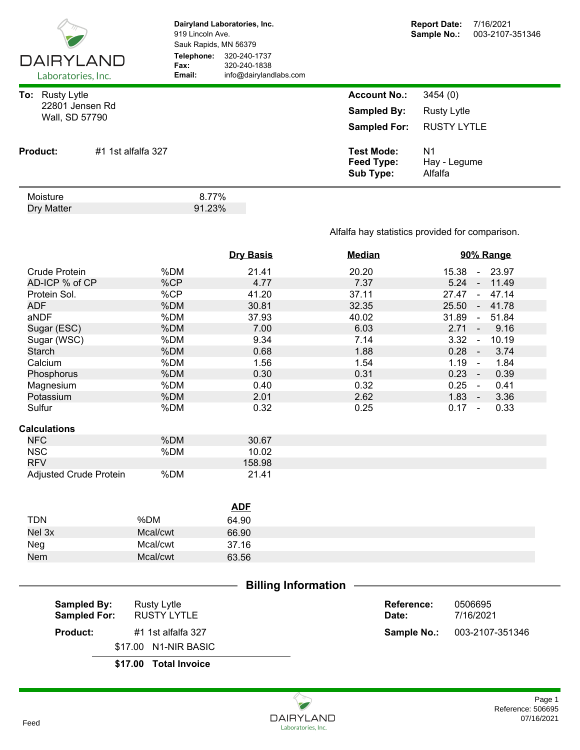| <b>DAIRYLAND</b><br>Laboratories, Inc.                         |                    | 919 Lincoln Ave.<br>Sauk Rapids, MN 56379<br>Telephone:<br>Fax:<br>Email: | Dairyland Laboratories, Inc.<br>320-240-1737<br>320-240-1838<br>info@dairylandlabs.com |                                                                  | <b>Report Date:</b><br>Sample No.:                  | 7/16/2021<br>003-2107-351346 |
|----------------------------------------------------------------|--------------------|---------------------------------------------------------------------------|----------------------------------------------------------------------------------------|------------------------------------------------------------------|-----------------------------------------------------|------------------------------|
| <b>Rusty Lytle</b><br>To:<br>22801 Jensen Rd<br>Wall, SD 57790 |                    |                                                                           |                                                                                        | <b>Account No.:</b><br><b>Sampled By:</b><br><b>Sampled For:</b> | 3454(0)<br><b>Rusty Lytle</b><br><b>RUSTY LYTLE</b> |                              |
| <b>Product:</b>                                                | #1 1st alfalfa 327 |                                                                           |                                                                                        | <b>Test Mode:</b><br>Feed Type:<br>Sub Type:                     | N <sub>1</sub><br>Hay - Legume<br>Alfalfa           |                              |
| Moisture<br>Dry Matter                                         |                    | 8.77%<br>91.23%                                                           |                                                                                        |                                                                  |                                                     |                              |

## Alfalfa hay statistics provided for comparison.

|                            |          | <b>Dry Basis</b> | <b>Median</b> | 90% Range                       |  |
|----------------------------|----------|------------------|---------------|---------------------------------|--|
| <b>Crude Protein</b>       | %DM      | 21.41            | 20.20         | 15.38 - 23.97                   |  |
| AD-ICP % of CP             | %CP      | 4.77             | 7.37          | 5.24<br>11.49<br>$\blacksquare$ |  |
| Protein Sol.               | %CP      | 41.20            | 37.11         | 27.47<br>47.14<br>$\sim$ $\sim$ |  |
| <b>ADF</b>                 | %DM      | 30.81            | 32.35         | 25.50<br>41.78<br>$\sim$        |  |
| aNDF                       | %DM      | 37.93            | 40.02         | 31.89<br>51.84<br>$\sim$        |  |
| Sugar (ESC)                | %DM      | 7.00             | 6.03          | $2.71 -$<br>9.16                |  |
| Sugar (WSC)                | %DM      | 9.34             | 7.14          | 3.32<br>10.19<br>$\blacksquare$ |  |
| <b>Starch</b>              | %DM      | 0.68             | 1.88          | $0.28 -$<br>3.74                |  |
| Calcium                    | %DM      | 1.56             | 1.54          | 1.19<br>1.84<br>$\sim$          |  |
| Phosphorus                 | %DM      | 0.30             | 0.31          | $0.23 -$<br>0.39                |  |
| Magnesium                  | %DM      | 0.40             | 0.32          | $0.25 -$<br>0.41                |  |
| Potassium                  | %DM      | 2.01             | 2.62          | 3.36<br>$1.83 -$                |  |
| Sulfur                     | %DM      | 0.32             | 0.25          | $0.17 -$<br>0.33                |  |
| <b>Calculations</b>        |          |                  |               |                                 |  |
| <b>NFC</b>                 | %DM      | 30.67            |               |                                 |  |
| <b>NSC</b>                 | %DM      | 10.02            |               |                                 |  |
| <b>RFV</b>                 |          | 158.98           |               |                                 |  |
| Adjusted Crude Protein     | %DM      | 21.41            |               |                                 |  |
|                            |          |                  |               |                                 |  |
|                            |          | <b>ADF</b>       |               |                                 |  |
| <b>TDN</b>                 | %DM      |                  |               |                                 |  |
|                            |          | 64.90            |               |                                 |  |
| Nel 3x                     | Mcal/cwt | 66.90            |               |                                 |  |
| Neg                        | Mcal/cwt | 37.16            |               |                                 |  |
| Nem                        | Mcal/cwt | 63.56            |               |                                 |  |
|                            |          |                  |               |                                 |  |
| <b>Billing Information</b> |          |                  |               |                                 |  |

| <b>Sampled By:</b><br><b>Sampled For:</b> | Rusty Lytle<br>RUSTY LYTLE | Reference:<br>Date: | 0506695<br>7/16/2021               |
|-------------------------------------------|----------------------------|---------------------|------------------------------------|
| <b>Product:</b>                           | #1 1st alfalfa 327         |                     | <b>Sample No.: 003-2107-351346</b> |
|                                           | \$17.00 N1-NIR BASIC       |                     |                                    |
|                                           | $A = A$                    |                     |                                    |

**\$17.00 Total Invoice**

## Reference: 506695 Page 1